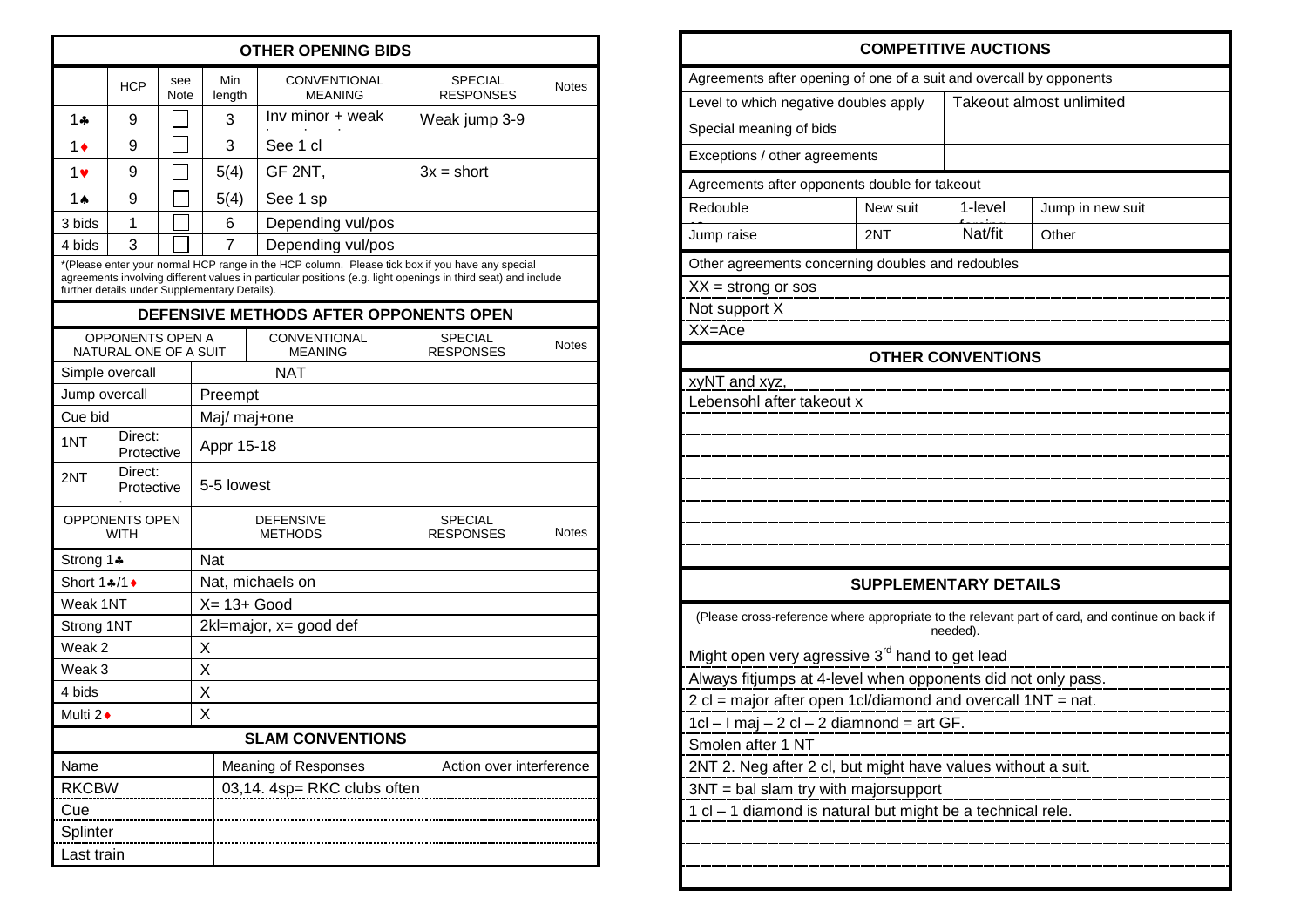| <b>OTHER OPENING BIDS</b>                                                                                                                                                                                                                                         |                           |  |                             |                                                         |                                    |              |  |  |  |
|-------------------------------------------------------------------------------------------------------------------------------------------------------------------------------------------------------------------------------------------------------------------|---------------------------|--|-----------------------------|---------------------------------------------------------|------------------------------------|--------------|--|--|--|
|                                                                                                                                                                                                                                                                   | see<br><b>HCP</b><br>Note |  | Min<br>length               | CONVENTIONAL<br><b>MEANING</b>                          | <b>SPECIAL</b><br><b>RESPONSES</b> | <b>Notes</b> |  |  |  |
| $1 -$                                                                                                                                                                                                                                                             | 9                         |  | 3                           | Inv minor + weak                                        | Weak jump 3-9                      |              |  |  |  |
| 1♦                                                                                                                                                                                                                                                                | 9                         |  | 3                           | See 1 cl                                                |                                    |              |  |  |  |
| 1♥                                                                                                                                                                                                                                                                | 9                         |  | 5(4)                        | GF 2NT,                                                 | $3x = short$                       |              |  |  |  |
| 1 A                                                                                                                                                                                                                                                               | 9                         |  | 5(4)                        | See 1 sp                                                |                                    |              |  |  |  |
| 3 bids                                                                                                                                                                                                                                                            | 1                         |  | 6                           | Depending vul/pos                                       |                                    |              |  |  |  |
| 4 bids                                                                                                                                                                                                                                                            | 3                         |  | 7                           | Depending vul/pos                                       |                                    |              |  |  |  |
| *(Please enter your normal HCP range in the HCP column. Please tick box if you have any special<br>agreements involving different values in particular positions (e.g. light openings in third seat) and include<br>further details under Supplementary Details). |                           |  |                             |                                                         |                                    |              |  |  |  |
| DEFENSIVE METHODS AFTER OPPONENTS OPEN                                                                                                                                                                                                                            |                           |  |                             |                                                         |                                    |              |  |  |  |
| <b>OPPONENTS OPEN A</b><br>NATURAL ONE OF A SUIT                                                                                                                                                                                                                  |                           |  |                             | <b>CONVENTIONAL</b><br><b>MEANING</b>                   | <b>SPECIAL</b><br><b>RESPONSES</b> | <b>Notes</b> |  |  |  |
|                                                                                                                                                                                                                                                                   | Simple overcall           |  |                             | <b>NAT</b>                                              |                                    |              |  |  |  |
| Jump overcall                                                                                                                                                                                                                                                     |                           |  | Preempt                     |                                                         |                                    |              |  |  |  |
| Cue bid                                                                                                                                                                                                                                                           |                           |  | Maj/ maj+one                |                                                         |                                    |              |  |  |  |
| 1NT                                                                                                                                                                                                                                                               | Direct:<br>Protective     |  |                             | Appr 15-18                                              |                                    |              |  |  |  |
| Direct:<br>2NT<br>Protective                                                                                                                                                                                                                                      |                           |  | 5-5 lowest                  |                                                         |                                    |              |  |  |  |
| <b>OPPONENTS OPEN</b><br><b>WITH</b>                                                                                                                                                                                                                              |                           |  |                             | <b>DEFENSIVE</b><br><b>METHODS</b>                      | <b>SPECIAL</b><br><b>RESPONSES</b> | <b>Notes</b> |  |  |  |
| Strong 1≱                                                                                                                                                                                                                                                         |                           |  | <b>Nat</b>                  |                                                         |                                    |              |  |  |  |
| Short 1♣/1♦                                                                                                                                                                                                                                                       |                           |  | Nat, michaels on            |                                                         |                                    |              |  |  |  |
| Weak 1NT                                                                                                                                                                                                                                                          |                           |  | $X = 13 + Good$             |                                                         |                                    |              |  |  |  |
| Strong 1NT                                                                                                                                                                                                                                                        |                           |  | $2$ kl=major, x= good def   |                                                         |                                    |              |  |  |  |
| Weak 2                                                                                                                                                                                                                                                            |                           |  | X                           |                                                         |                                    |              |  |  |  |
| Weak 3<br>4 bids                                                                                                                                                                                                                                                  |                           |  | Χ<br>X                      |                                                         |                                    |              |  |  |  |
| Multi 2+                                                                                                                                                                                                                                                          |                           |  | X                           |                                                         |                                    |              |  |  |  |
| <b>SLAM CONVENTIONS</b>                                                                                                                                                                                                                                           |                           |  |                             |                                                         |                                    |              |  |  |  |
| Name                                                                                                                                                                                                                                                              |                           |  |                             | <b>Meaning of Responses</b><br>Action over interference |                                    |              |  |  |  |
| <b>RKCBW</b>                                                                                                                                                                                                                                                      |                           |  | 03,14. 4sp= RKC clubs often |                                                         |                                    |              |  |  |  |
| Cue                                                                                                                                                                                                                                                               |                           |  |                             |                                                         |                                    |              |  |  |  |
| Splinter                                                                                                                                                                                                                                                          |                           |  |                             |                                                         |                                    |              |  |  |  |
| Last train                                                                                                                                                                                                                                                        |                           |  |                             |                                                         |                                    |              |  |  |  |

|                                                                                                      |          | <b>COMPETITIVE AUCTIONS</b>                     |                                                                                                 |  |  |  |  |
|------------------------------------------------------------------------------------------------------|----------|-------------------------------------------------|-------------------------------------------------------------------------------------------------|--|--|--|--|
| Agreements after opening of one of a suit and overcall by opponents                                  |          |                                                 |                                                                                                 |  |  |  |  |
| Level to which negative doubles apply                                                                |          | Takeout almost unlimited                        |                                                                                                 |  |  |  |  |
| Special meaning of bids                                                                              |          |                                                 |                                                                                                 |  |  |  |  |
| Exceptions / other agreements                                                                        |          |                                                 |                                                                                                 |  |  |  |  |
| Agreements after opponents double for takeout                                                        |          |                                                 |                                                                                                 |  |  |  |  |
| Redouble                                                                                             | New suit | 1-level<br>Jump in new suit<br>Nat/fit<br>Other |                                                                                                 |  |  |  |  |
| Jump raise                                                                                           | 2NT      |                                                 |                                                                                                 |  |  |  |  |
| Other agreements concerning doubles and redoubles                                                    |          |                                                 |                                                                                                 |  |  |  |  |
| $XX =$ strong or sos                                                                                 |          |                                                 |                                                                                                 |  |  |  |  |
| Not support X                                                                                        |          |                                                 |                                                                                                 |  |  |  |  |
| XX=Ace                                                                                               |          |                                                 |                                                                                                 |  |  |  |  |
|                                                                                                      |          | <b>OTHER CONVENTIONS</b>                        |                                                                                                 |  |  |  |  |
| xyNT and xyz,                                                                                        |          |                                                 |                                                                                                 |  |  |  |  |
| Lebensohl after takeout x                                                                            |          |                                                 |                                                                                                 |  |  |  |  |
|                                                                                                      |          |                                                 |                                                                                                 |  |  |  |  |
|                                                                                                      |          |                                                 |                                                                                                 |  |  |  |  |
|                                                                                                      |          |                                                 |                                                                                                 |  |  |  |  |
|                                                                                                      |          |                                                 |                                                                                                 |  |  |  |  |
|                                                                                                      |          |                                                 |                                                                                                 |  |  |  |  |
|                                                                                                      |          |                                                 |                                                                                                 |  |  |  |  |
|                                                                                                      |          | <b>SUPPLEMENTARY DETAILS</b>                    |                                                                                                 |  |  |  |  |
|                                                                                                      |          | needed).                                        | (Please cross-reference where appropriate to the relevant part of card, and continue on back if |  |  |  |  |
| Might open very agressive 3 <sup>rd</sup> hand to get lead                                           |          |                                                 |                                                                                                 |  |  |  |  |
| Always fitjumps at 4-level when opponents did not only pass.                                         |          |                                                 |                                                                                                 |  |  |  |  |
| 2 cl = major after open 1cl/diamond and overcall 1NT = nat.                                          |          |                                                 |                                                                                                 |  |  |  |  |
| 1cl – I maj – 2 cl – 2 diamnond = art GF.                                                            |          |                                                 |                                                                                                 |  |  |  |  |
| Smolen after 1 NT                                                                                    |          |                                                 |                                                                                                 |  |  |  |  |
| 2NT 2. Neg after 2 cl, but might have values without a suit.<br>3NT = bal slam try with majorsupport |          |                                                 |                                                                                                 |  |  |  |  |
| 1 cl - 1 diamond is natural but might be a technical rele.                                           |          |                                                 |                                                                                                 |  |  |  |  |
|                                                                                                      |          |                                                 |                                                                                                 |  |  |  |  |
|                                                                                                      |          |                                                 |                                                                                                 |  |  |  |  |
|                                                                                                      |          |                                                 |                                                                                                 |  |  |  |  |